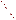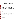# **Technical Factsheet on: OXAMYL**

## [List of Contaminants](http://www.epa.gov/safewater/hfacts.html)

 As part of the Drinking Water and Health pages, this fact sheet is part of a larger publication: **National Primary Drinking Water Regulations** 

 MCL: 0.2 mg/L Drinking Water Standards MCLG: 0.2 mg/L HAL(child): 1- to 10-day: 0.2 mg/L; Longer-term: 0.2 mg/L

## **Health Effects Summary**

 levels above the MCL: tremors, salivation and tearing due to cholinesterase inhibition. Acute: EPA has found oxamyl to potentially cause the following health effects from acute exposures at

Drinking water levels which are considered "safe" for short-term exposures: For a 10-kg (22 lb.) child consuming 1 liter of water per day, up to a 7-year exposure to 0.2 mg/L.

 above the MCL: decreased body weight. Chronic: Oxamyl has the potential to cause the following health effects from long-term exposures at levels

 drinking water. Cancer: There is no evidence that oxamyl has the potential to cause cancer from a lifetime exposure in

## **Usage Patterns**

Oxamyl is widely used for control of insects, mites and nematodes on field crops, fruits and ornamentals. The majority of oxamyl is applied to apples (36 percent), potatoes (33 percent), and tomatoes (20 percent).

EPA estimated that 400,000 lbs. of oxamyl were produced in the US in 1982.

#### **Release Patterns**

Oxamyl is released directly to the environment in its use as an insecticide and during its manufacture, handling and storage.

 Since oxamyl is not a listed chemical in the Toxics Release Inventory, data on releases during its manufacture and handling are not available.

## **Environmental Fate**

 Oxamyl is highly soluble in water, and is relatively stable in aqueous solutions at acidic pH. It hydrolyzes and photodegrades rapidly to an oximino compound.

Biodegradation is also rapid in soils under both aerobic and anaerobic conditions. While laboratory studies have found oxamyl to be mobile in soils, field data indicates only limited mobility, most likely due to rapid biodegradation.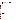Bioconcentration is not expected as oxamyl is rapidly absorbed, metabolized and eliminated in toxicological tests. However, some accumulation has been noted in the skin and hair of rodents, so accumulation may occur in species that do not readily metabolize the compound.

 Exposure data are limited, but oxamyl has been found in drinking water at levels averaging 5 percent of the MCL.

## **Chemical/ Physical Properties**

CAS Number: 23135-22-0

Color/ Form/Odor: White crystals with slight sulfurous odor.

M.P.: 100-192 C, different crystalline form at 108-110 C

Vapor Pressure: N/A

Octanol/Water Partition (Kow): N/A

Density/Spec. Grav.: N/A

Solubility: 280 g/L of water at 25 C; Very soluble in water

Soil sorption coefficient: N/A

Odor/Taste Thresholds: N/A

**Bioconcentration Factor: N/A** 

Henry's Law Coefficient: N/A

Soil sorption coefficient: N/A<br>Odor/Taste Thresholds: N/A<br>Bioconcentration Factor: N/A<br>Henry's Law Coefficient: N/A<br>Trade Names/Synonyms: Vydate K; Thioxamyl; Dioxamyl; DPX 1410; Dupont 1410; Methyl N',N'dimethyl-N-((methylcarbamoyl)oxy)- 1-thiooxamimidate

# **Other Regulatory Information**

Monitoring For Ground/Surface Water Sources:

 Initial Frequency- 4 quarterly samples every 3 years Repeat Frequency- If no detections during initial round: 2 quarterly per year if serving >3300 persons; 1 sample per 3 years for smaller systems 1 sample per 3 years for smaller systems Triggers - Return to Initial Freq. if detect at > 0.002 mg/L

Analysis:

**Reference Source Method Numbers** 

EPA 600/4-88-039 531.1

Standard Methods 6610

 Granular Activated Charcoal Treatment- Best Available Technologies: